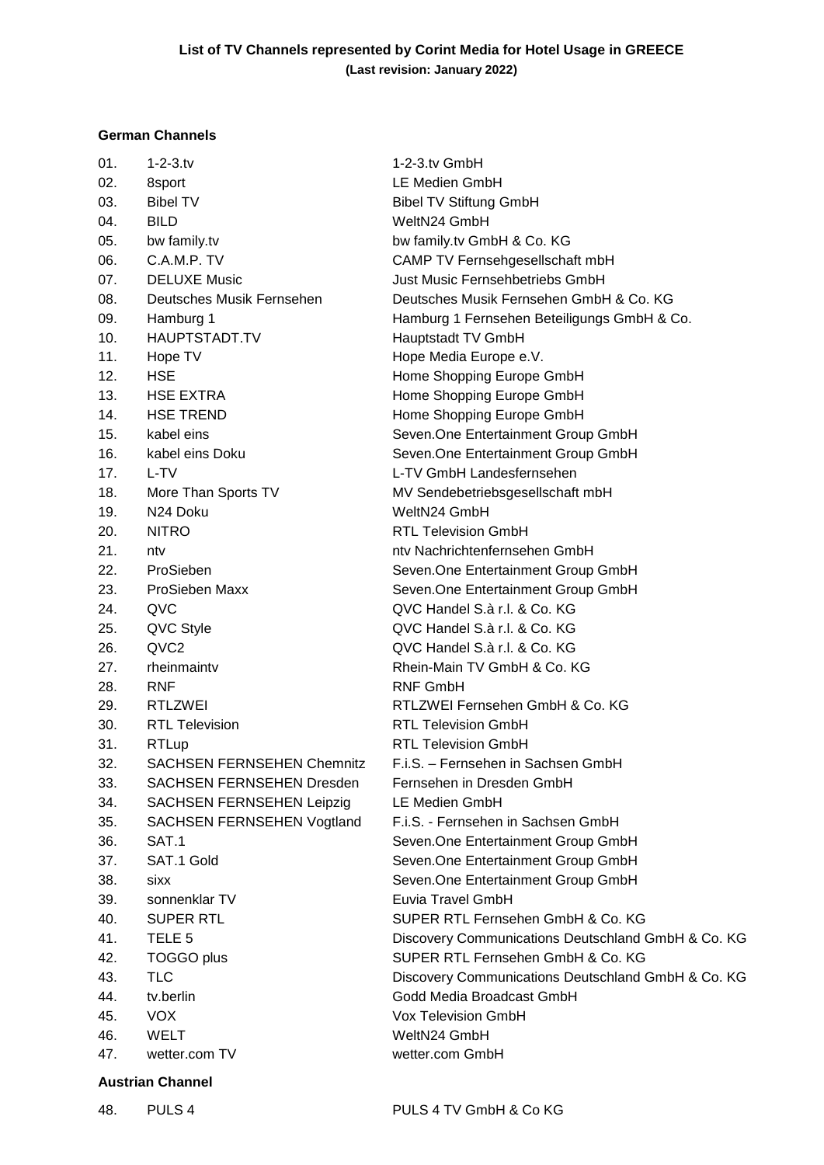## **German Channels**

| 01. | $1 - 2 - 3$ .tv                   | 1-2-3.tv GmbH                                      |  |
|-----|-----------------------------------|----------------------------------------------------|--|
| 02. | 8sport                            | LE Medien GmbH                                     |  |
| 03. | <b>Bibel TV</b>                   | <b>Bibel TV Stiftung GmbH</b>                      |  |
| 04. | <b>BILD</b>                       | WeltN24 GmbH                                       |  |
| 05. | bw family.tv                      | bw family.tv GmbH & Co. KG                         |  |
| 06. | C.A.M.P. TV                       | CAMP TV Fernsehgesellschaft mbH                    |  |
| 07. | <b>DELUXE Music</b>               | <b>Just Music Fernsehbetriebs GmbH</b>             |  |
| 08. | Deutsches Musik Fernsehen         | Deutsches Musik Fernsehen GmbH & Co. KG            |  |
| 09. | Hamburg 1                         | Hamburg 1 Fernsehen Beteiligungs GmbH & Co.        |  |
| 10. | HAUPTSTADT.TV                     | Hauptstadt TV GmbH                                 |  |
| 11. | Hope TV                           | Hope Media Europe e.V.                             |  |
| 12. | <b>HSE</b>                        | Home Shopping Europe GmbH                          |  |
| 13. | <b>HSE EXTRA</b>                  | Home Shopping Europe GmbH                          |  |
| 14. | <b>HSE TREND</b>                  | Home Shopping Europe GmbH                          |  |
| 15. | kabel eins                        | Seven.One Entertainment Group GmbH                 |  |
| 16. | kabel eins Doku                   | Seven.One Entertainment Group GmbH                 |  |
| 17. | L-TV                              | L-TV GmbH Landesfernsehen                          |  |
| 18. | More Than Sports TV               | MV Sendebetriebsgesellschaft mbH                   |  |
| 19. | N24 Doku                          | WeltN24 GmbH                                       |  |
| 20. | <b>NITRO</b>                      | <b>RTL Television GmbH</b>                         |  |
| 21. | ntv                               | nty Nachrichtenfernsehen GmbH                      |  |
| 22. | ProSieben                         | Seven.One Entertainment Group GmbH                 |  |
| 23. | ProSieben Maxx                    | Seven. One Entertainment Group GmbH                |  |
| 24. | QVC                               | QVC Handel S.à r.l. & Co. KG                       |  |
| 25. | QVC Style                         | QVC Handel S.à r.l. & Co. KG                       |  |
| 26. | QVC <sub>2</sub>                  | QVC Handel S.à r.l. & Co. KG                       |  |
| 27. | rheinmainty                       | Rhein-Main TV GmbH & Co. KG                        |  |
| 28. | <b>RNF</b>                        | <b>RNF GmbH</b>                                    |  |
| 29. | <b>RTLZWEI</b>                    | RTLZWEI Fernsehen GmbH & Co. KG                    |  |
| 30. | <b>RTL Television</b>             | <b>RTL Television GmbH</b>                         |  |
| 31. | <b>RTLup</b>                      | <b>RTL Television GmbH</b>                         |  |
| 32. | <b>SACHSEN FERNSEHEN Chemnitz</b> | F.i.S. - Fernsehen in Sachsen GmbH                 |  |
| 33. | <b>SACHSEN FERNSEHEN Dresden</b>  | Fernsehen in Dresden GmbH                          |  |
| 34. | SACHSEN FERNSEHEN Leipzig         | LE Medien GmbH                                     |  |
| 35. | SACHSEN FERNSEHEN Vogtland        | F.i.S. - Fernsehen in Sachsen GmbH                 |  |
| 36. | SAT.1                             | Seven.One Entertainment Group GmbH                 |  |
| 37. | SAT.1 Gold                        | Seven.One Entertainment Group GmbH                 |  |
| 38. | sixx                              | Seven. One Entertainment Group GmbH                |  |
| 39. | sonnenklar TV                     | Euvia Travel GmbH                                  |  |
| 40. | <b>SUPER RTL</b>                  | SUPER RTL Fernsehen GmbH & Co. KG                  |  |
| 41. | TELE <sub>5</sub>                 | Discovery Communications Deutschland GmbH & Co. KG |  |
| 42. | TOGGO plus                        | SUPER RTL Fernsehen GmbH & Co. KG                  |  |
| 43. | <b>TLC</b>                        | Discovery Communications Deutschland GmbH & Co. KG |  |
| 44. | tv.berlin                         | Godd Media Broadcast GmbH                          |  |
| 45. | <b>VOX</b>                        | <b>Vox Television GmbH</b>                         |  |
| 46. | <b>WELT</b>                       | WeltN24 GmbH                                       |  |
| 47. | wetter.com TV                     | wetter.com GmbH                                    |  |
|     |                                   |                                                    |  |

## **Austrian Channel**